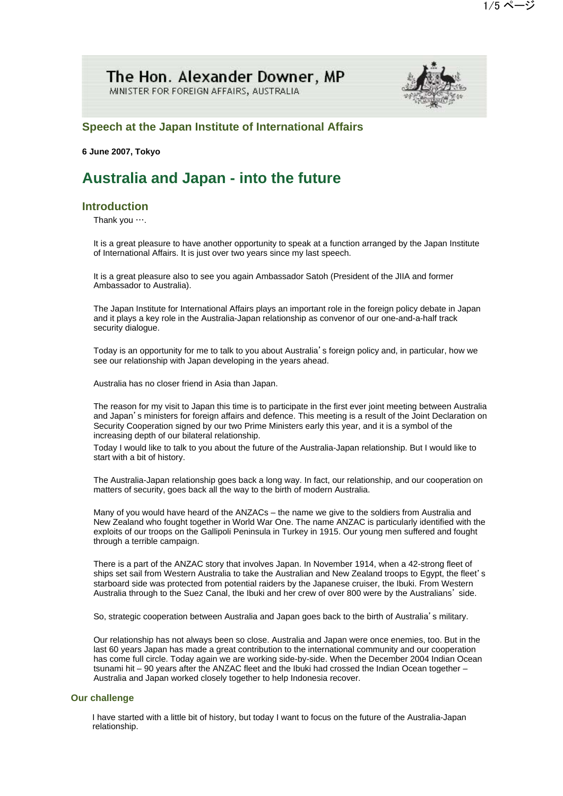## The Hon. Alexander Downer, MP MINISTER FOR FOREIGN AFFAIRS, AUSTRALIA



## **Speech at the Japan Institute of International Affairs**

**6 June 2007, Tokyo**

# **Australia and Japan - into the future**

## **Introduction**

Thank you ….

It is a great pleasure to have another opportunity to speak at a function arranged by the Japan Institute of International Affairs. It is just over two years since my last speech.

It is a great pleasure also to see you again Ambassador Satoh (President of the JIIA and former Ambassador to Australia).

The Japan Institute for International Affairs plays an important role in the foreign policy debate in Japan and it plays a key role in the Australia-Japan relationship as convenor of our one-and-a-half track security dialogue.

Today is an opportunity for me to talk to you about Australia's foreign policy and, in particular, how we see our relationship with Japan developing in the years ahead.

Australia has no closer friend in Asia than Japan.

The reason for my visit to Japan this time is to participate in the first ever joint meeting between Australia and Japan's ministers for foreign affairs and defence. This meeting is a result of the Joint Declaration on Security Cooperation signed by our two Prime Ministers early this year, and it is a symbol of the increasing depth of our bilateral relationship.

Today I would like to talk to you about the future of the Australia-Japan relationship. But I would like to start with a bit of history.

The Australia-Japan relationship goes back a long way. In fact, our relationship, and our cooperation on matters of security, goes back all the way to the birth of modern Australia.

Many of you would have heard of the ANZACs – the name we give to the soldiers from Australia and New Zealand who fought together in World War One. The name ANZAC is particularly identified with the exploits of our troops on the Gallipoli Peninsula in Turkey in 1915. Our young men suffered and fought through a terrible campaign.

There is a part of the ANZAC story that involves Japan. In November 1914, when a 42-strong fleet of ships set sail from Western Australia to take the Australian and New Zealand troops to Egypt, the fleet's starboard side was protected from potential raiders by the Japanese cruiser, the Ibuki. From Western Australia through to the Suez Canal, the Ibuki and her crew of over 800 were by the Australians' side.

So, strategic cooperation between Australia and Japan goes back to the birth of Australia's military.

Our relationship has not always been so close. Australia and Japan were once enemies, too. But in the last 60 years Japan has made a great contribution to the international community and our cooperation has come full circle. Today again we are working side-by-side. When the December 2004 Indian Ocean tsunami hit – 90 years after the ANZAC fleet and the Ibuki had crossed the Indian Ocean together – Australia and Japan worked closely together to help Indonesia recover.

### **Our challenge**

 I have started with a little bit of history, but today I want to focus on the future of the Australia-Japan relationship.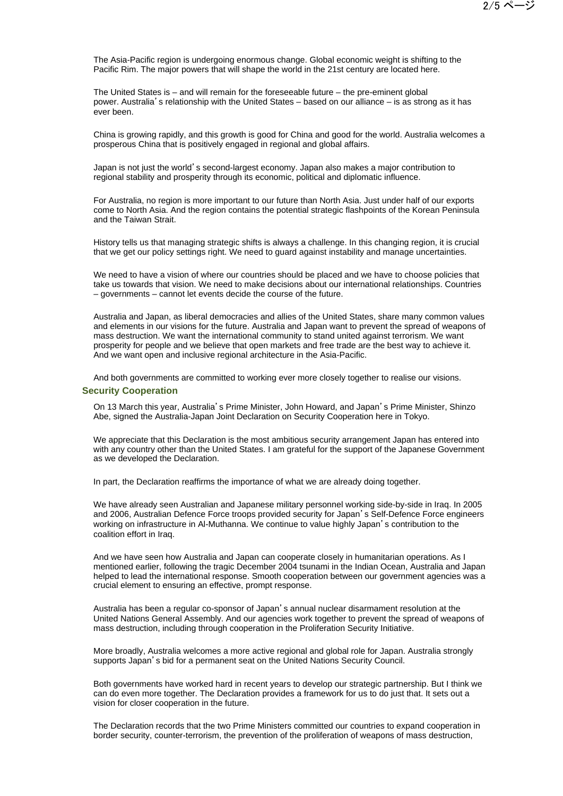The Asia-Pacific region is undergoing enormous change. Global economic weight is shifting to the Pacific Rim. The major powers that will shape the world in the 21st century are located here.

The United States is – and will remain for the foreseeable future – the pre-eminent global power. Australia's relationship with the United States – based on our alliance – is as strong as it has ever been.

China is growing rapidly, and this growth is good for China and good for the world. Australia welcomes a prosperous China that is positively engaged in regional and global affairs.

Japan is not just the world's second-largest economy. Japan also makes a major contribution to regional stability and prosperity through its economic, political and diplomatic influence.

For Australia, no region is more important to our future than North Asia. Just under half of our exports come to North Asia. And the region contains the potential strategic flashpoints of the Korean Peninsula and the Taiwan Strait.

History tells us that managing strategic shifts is always a challenge. In this changing region, it is crucial that we get our policy settings right. We need to guard against instability and manage uncertainties.

We need to have a vision of where our countries should be placed and we have to choose policies that take us towards that vision. We need to make decisions about our international relationships. Countries – governments – cannot let events decide the course of the future.

Australia and Japan, as liberal democracies and allies of the United States, share many common values and elements in our visions for the future. Australia and Japan want to prevent the spread of weapons of mass destruction. We want the international community to stand united against terrorism. We want prosperity for people and we believe that open markets and free trade are the best way to achieve it. And we want open and inclusive regional architecture in the Asia-Pacific.

And both governments are committed to working ever more closely together to realise our visions.

### **Security Cooperation**

On 13 March this year, Australia's Prime Minister, John Howard, and Japan's Prime Minister, Shinzo Abe, signed the Australia-Japan Joint Declaration on Security Cooperation here in Tokyo.

We appreciate that this Declaration is the most ambitious security arrangement Japan has entered into with any country other than the United States. I am grateful for the support of the Japanese Government as we developed the Declaration.

In part, the Declaration reaffirms the importance of what we are already doing together.

We have already seen Australian and Japanese military personnel working side-by-side in Iraq. In 2005 and 2006, Australian Defence Force troops provided security for Japan's Self-Defence Force engineers working on infrastructure in Al-Muthanna. We continue to value highly Japan's contribution to the coalition effort in Iraq.

And we have seen how Australia and Japan can cooperate closely in humanitarian operations. As I mentioned earlier, following the tragic December 2004 tsunami in the Indian Ocean, Australia and Japan helped to lead the international response. Smooth cooperation between our government agencies was a crucial element to ensuring an effective, prompt response.

Australia has been a regular co-sponsor of Japan's annual nuclear disarmament resolution at the United Nations General Assembly. And our agencies work together to prevent the spread of weapons of mass destruction, including through cooperation in the Proliferation Security Initiative.

More broadly, Australia welcomes a more active regional and global role for Japan. Australia strongly supports Japan's bid for a permanent seat on the United Nations Security Council.

Both governments have worked hard in recent years to develop our strategic partnership. But I think we can do even more together. The Declaration provides a framework for us to do just that. It sets out a vision for closer cooperation in the future.

The Declaration records that the two Prime Ministers committed our countries to expand cooperation in border security, counter-terrorism, the prevention of the proliferation of weapons of mass destruction,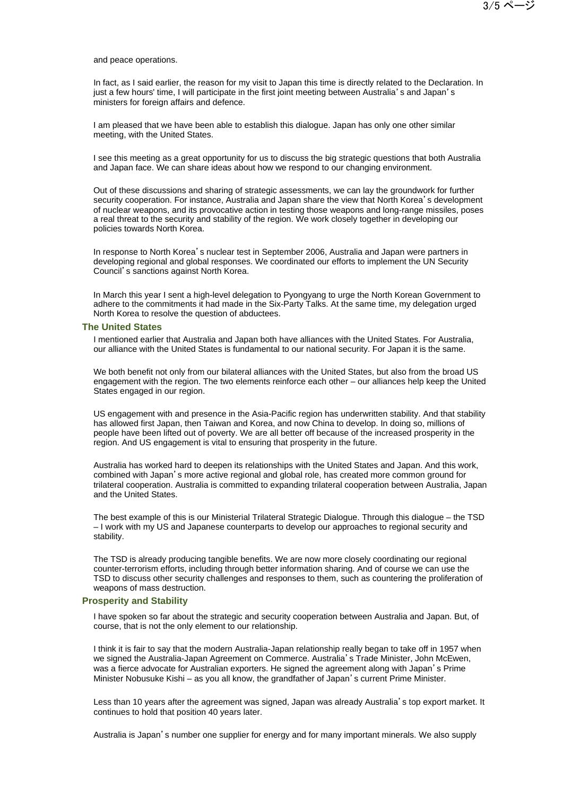and peace operations.

In fact, as I said earlier, the reason for my visit to Japan this time is directly related to the Declaration. In just a few hours' time, I will participate in the first joint meeting between Australia's and Japan's ministers for foreign affairs and defence.

I am pleased that we have been able to establish this dialogue. Japan has only one other similar meeting, with the United States.

I see this meeting as a great opportunity for us to discuss the big strategic questions that both Australia and Japan face. We can share ideas about how we respond to our changing environment.

Out of these discussions and sharing of strategic assessments, we can lay the groundwork for further security cooperation. For instance, Australia and Japan share the view that North Korea's development of nuclear weapons, and its provocative action in testing those weapons and long-range missiles, poses a real threat to the security and stability of the region. We work closely together in developing our policies towards North Korea.

In response to North Korea's nuclear test in September 2006, Australia and Japan were partners in developing regional and global responses. We coordinated our efforts to implement the UN Security Council's sanctions against North Korea.

In March this year I sent a high-level delegation to Pyongyang to urge the North Korean Government to adhere to the commitments it had made in the Six-Party Talks. At the same time, my delegation urged North Korea to resolve the question of abductees.

#### **The United States**

I mentioned earlier that Australia and Japan both have alliances with the United States. For Australia, our alliance with the United States is fundamental to our national security. For Japan it is the same.

We both benefit not only from our bilateral alliances with the United States, but also from the broad US engagement with the region. The two elements reinforce each other – our alliances help keep the United States engaged in our region.

US engagement with and presence in the Asia-Pacific region has underwritten stability. And that stability has allowed first Japan, then Taiwan and Korea, and now China to develop. In doing so, millions of people have been lifted out of poverty. We are all better off because of the increased prosperity in the region. And US engagement is vital to ensuring that prosperity in the future.

Australia has worked hard to deepen its relationships with the United States and Japan. And this work, combined with Japan's more active regional and global role, has created more common ground for trilateral cooperation. Australia is committed to expanding trilateral cooperation between Australia, Japan and the United States.

The best example of this is our Ministerial Trilateral Strategic Dialogue. Through this dialogue – the TSD – I work with my US and Japanese counterparts to develop our approaches to regional security and stability.

The TSD is already producing tangible benefits. We are now more closely coordinating our regional counter-terrorism efforts, including through better information sharing. And of course we can use the TSD to discuss other security challenges and responses to them, such as countering the proliferation of weapons of mass destruction.

#### **Prosperity and Stability**

I have spoken so far about the strategic and security cooperation between Australia and Japan. But, of course, that is not the only element to our relationship.

I think it is fair to say that the modern Australia-Japan relationship really began to take off in 1957 when we signed the Australia-Japan Agreement on Commerce. Australia's Trade Minister, John McEwen, was a fierce advocate for Australian exporters. He signed the agreement along with Japan's Prime Minister Nobusuke Kishi – as you all know, the grandfather of Japan's current Prime Minister.

Less than 10 years after the agreement was signed, Japan was already Australia's top export market. It continues to hold that position 40 years later.

Australia is Japan's number one supplier for energy and for many important minerals. We also supply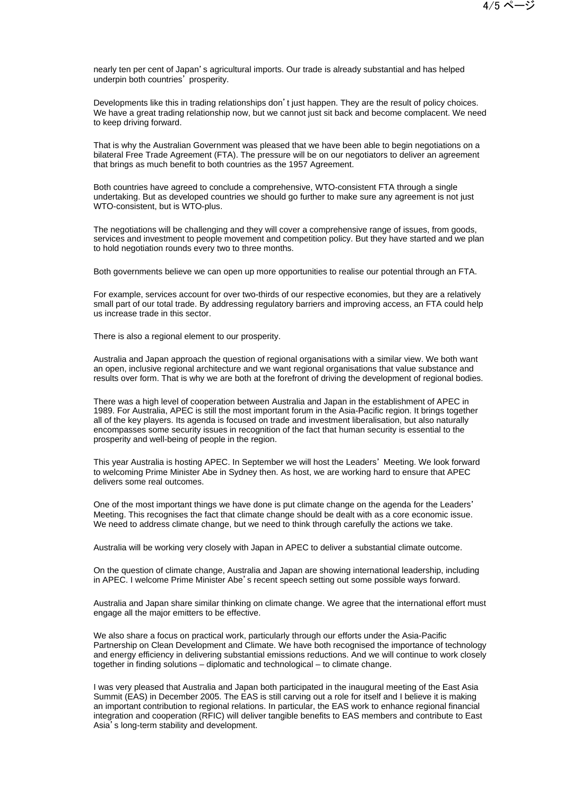nearly ten per cent of Japan's agricultural imports. Our trade is already substantial and has helped underpin both countries' prosperity.

Developments like this in trading relationships don't just happen. They are the result of policy choices. We have a great trading relationship now, but we cannot just sit back and become complacent. We need to keep driving forward.

That is why the Australian Government was pleased that we have been able to begin negotiations on a bilateral Free Trade Agreement (FTA). The pressure will be on our negotiators to deliver an agreement that brings as much benefit to both countries as the 1957 Agreement.

Both countries have agreed to conclude a comprehensive, WTO-consistent FTA through a single undertaking. But as developed countries we should go further to make sure any agreement is not just WTO-consistent, but is WTO-plus.

The negotiations will be challenging and they will cover a comprehensive range of issues, from goods, services and investment to people movement and competition policy. But they have started and we plan to hold negotiation rounds every two to three months.

Both governments believe we can open up more opportunities to realise our potential through an FTA.

For example, services account for over two-thirds of our respective economies, but they are a relatively small part of our total trade. By addressing regulatory barriers and improving access, an FTA could help us increase trade in this sector.

There is also a regional element to our prosperity.

Australia and Japan approach the question of regional organisations with a similar view. We both want an open, inclusive regional architecture and we want regional organisations that value substance and results over form. That is why we are both at the forefront of driving the development of regional bodies.

There was a high level of cooperation between Australia and Japan in the establishment of APEC in 1989. For Australia, APEC is still the most important forum in the Asia-Pacific region. It brings together all of the key players. Its agenda is focused on trade and investment liberalisation, but also naturally encompasses some security issues in recognition of the fact that human security is essential to the prosperity and well-being of people in the region.

This year Australia is hosting APEC. In September we will host the Leaders' Meeting. We look forward to welcoming Prime Minister Abe in Sydney then. As host, we are working hard to ensure that APEC delivers some real outcomes.

One of the most important things we have done is put climate change on the agenda for the Leaders' Meeting. This recognises the fact that climate change should be dealt with as a core economic issue. We need to address climate change, but we need to think through carefully the actions we take.

Australia will be working very closely with Japan in APEC to deliver a substantial climate outcome.

On the question of climate change, Australia and Japan are showing international leadership, including in APEC. I welcome Prime Minister Abe's recent speech setting out some possible ways forward.

Australia and Japan share similar thinking on climate change. We agree that the international effort must engage all the major emitters to be effective.

We also share a focus on practical work, particularly through our efforts under the Asia-Pacific Partnership on Clean Development and Climate. We have both recognised the importance of technology and energy efficiency in delivering substantial emissions reductions. And we will continue to work closely together in finding solutions – diplomatic and technological – to climate change.

I was very pleased that Australia and Japan both participated in the inaugural meeting of the East Asia Summit (EAS) in December 2005. The EAS is still carving out a role for itself and I believe it is making an important contribution to regional relations. In particular, the EAS work to enhance regional financial integration and cooperation (RFIC) will deliver tangible benefits to EAS members and contribute to East Asia's long-term stability and development.